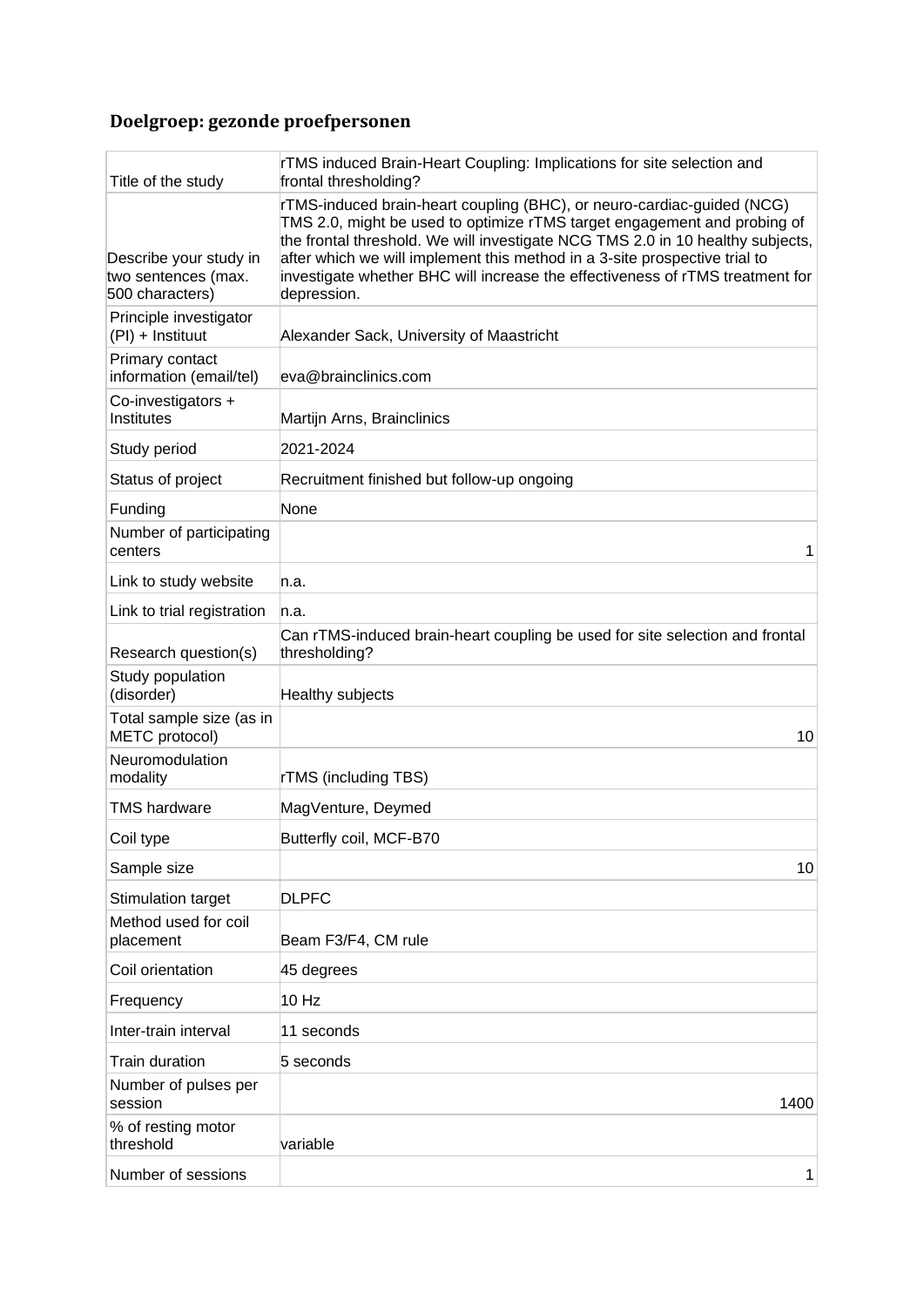## **Doelgroep: gezonde proefpersonen**

| Title of the study                                               | rTMS induced Brain-Heart Coupling: Implications for site selection and<br>frontal thresholding?                                                                                                                                                                                                                                                                                                                    |
|------------------------------------------------------------------|--------------------------------------------------------------------------------------------------------------------------------------------------------------------------------------------------------------------------------------------------------------------------------------------------------------------------------------------------------------------------------------------------------------------|
| Describe your study in<br>two sentences (max.<br>500 characters) | rTMS-induced brain-heart coupling (BHC), or neuro-cardiac-guided (NCG)<br>TMS 2.0, might be used to optimize rTMS target engagement and probing of<br>the frontal threshold. We will investigate NCG TMS 2.0 in 10 healthy subjects,<br>after which we will implement this method in a 3-site prospective trial to<br>investigate whether BHC will increase the effectiveness of rTMS treatment for<br>depression. |
| Principle investigator<br>(PI) + Instituut                       | Alexander Sack, University of Maastricht                                                                                                                                                                                                                                                                                                                                                                           |
| Primary contact<br>information (email/tel)                       | eva@brainclinics.com                                                                                                                                                                                                                                                                                                                                                                                               |
| Co-investigators +<br>Institutes                                 | Martijn Arns, Brainclinics                                                                                                                                                                                                                                                                                                                                                                                         |
| Study period                                                     | 2021-2024                                                                                                                                                                                                                                                                                                                                                                                                          |
| Status of project                                                | Recruitment finished but follow-up ongoing                                                                                                                                                                                                                                                                                                                                                                         |
| Funding                                                          | None                                                                                                                                                                                                                                                                                                                                                                                                               |
| Number of participating<br>centers                               | 1                                                                                                                                                                                                                                                                                                                                                                                                                  |
| Link to study website                                            | n.a.                                                                                                                                                                                                                                                                                                                                                                                                               |
| Link to trial registration                                       | n.a.                                                                                                                                                                                                                                                                                                                                                                                                               |
| Research question(s)                                             | Can rTMS-induced brain-heart coupling be used for site selection and frontal<br>thresholding?                                                                                                                                                                                                                                                                                                                      |
| Study population<br>(disorder)                                   | Healthy subjects                                                                                                                                                                                                                                                                                                                                                                                                   |
| Total sample size (as in<br>METC protocol)                       | 10                                                                                                                                                                                                                                                                                                                                                                                                                 |
| Neuromodulation<br>modality                                      | <b>rTMS</b> (including TBS)                                                                                                                                                                                                                                                                                                                                                                                        |
| <b>TMS hardware</b>                                              | MagVenture, Deymed                                                                                                                                                                                                                                                                                                                                                                                                 |
| Coil type                                                        | Butterfly coil, MCF-B70                                                                                                                                                                                                                                                                                                                                                                                            |
| Sample size                                                      | 10                                                                                                                                                                                                                                                                                                                                                                                                                 |
| Stimulation target                                               | <b>DLPFC</b>                                                                                                                                                                                                                                                                                                                                                                                                       |
| Method used for coil<br>placement                                | Beam F3/F4, CM rule                                                                                                                                                                                                                                                                                                                                                                                                |
| Coil orientation                                                 | 45 degrees                                                                                                                                                                                                                                                                                                                                                                                                         |
| Frequency                                                        | 10 Hz                                                                                                                                                                                                                                                                                                                                                                                                              |
| Inter-train interval                                             | 11 seconds                                                                                                                                                                                                                                                                                                                                                                                                         |
| Train duration                                                   | 5 seconds                                                                                                                                                                                                                                                                                                                                                                                                          |
| Number of pulses per<br>session                                  | 1400                                                                                                                                                                                                                                                                                                                                                                                                               |
| % of resting motor<br>threshold                                  | variable                                                                                                                                                                                                                                                                                                                                                                                                           |
| Number of sessions                                               | 1                                                                                                                                                                                                                                                                                                                                                                                                                  |